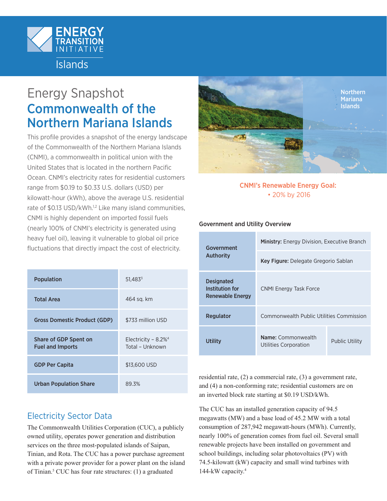

# Energy Snapshot Commonwealth of the Northern Mariana Islands

This profile provides a snapshot of the energy landscape of the Commonwealth of the Northern Mariana Islands (CNMI), a commonwealth in political union with the United States that is located in the northern Pacific Ocean. CNMI's electricity rates for residential customers range from \$0.19 to \$0.33 U.S. dollars (USD) per kilowatt-hour (kWh), above the average U.S. residential rate of \$0[.1](#page-3-0)3 USD/kWh.<sup>1[,2](#page-3-1)</sup> Like many island communities, CNMI is highly dependent on imported fossil fuels (nearly 100% of CNMI's electricity is generated using heavy fuel oil), leaving it vulnerable to global oil price fluctuations that directly impact the cost of electricity.

| <b>Population</b>                                | $51,483^{3}$                                          |
|--------------------------------------------------|-------------------------------------------------------|
| <b>Total Area</b>                                | 464 sq. km                                            |
| <b>Gross Domestic Product (GDP)</b>              | \$733 million USD                                     |
| Share of GDP Spent on<br><b>Fuel and Imports</b> | Electricity - $8.2\%$ <sup>4</sup><br>Total - Unknown |
| <b>GDP Per Capita</b>                            | \$13,600 USD                                          |
| <b>Urban Population Share</b>                    | 89.3%                                                 |



### CNMI's Renewable Energy Goal: • 20% by 2016

### Government and Utility Overview

| Government<br><b>Authority</b>                           | <b>Ministry:</b> Energy Division, Executive Branch |                       |
|----------------------------------------------------------|----------------------------------------------------|-----------------------|
|                                                          | Key Figure: Delegate Gregorio Sablan               |                       |
| <b>Designated</b><br>Institution for<br>Renewable Energy | <b>CNMI Energy Task Force</b>                      |                       |
| Regulator                                                | Commonwealth Public Utilities Commission           |                       |
| Utility                                                  | Name: Commonwealth<br><b>Utilities Corporation</b> | <b>Public Utility</b> |
|                                                          |                                                    |                       |

residential rate, (2) a commercial rate, (3) a government rate, and (4) a non-conforming rate; residential customers are on an inverted block rate starting at \$0.19 USD/kWh.

The CUC has an installed generation capacity of 94.5 megawatts (MW) and a base load of 45.2 MW with a total consumption of 287,942 megawatt-hours (MWh). Currently, nearly 100% of generation comes from fuel oil. Several small renewable projects have been installed on government and school buildings, including solar photovoltaics (PV) with 74.5-kilowatt (kW) capacity and small wind turbines with 144-kW capacity.<sup>4</sup>

# Electricity Sector Data

The Commonwealth Utilities Corporation (CUC), a publicly owned utility, operates power generation and distribution services on the three most-populated islands of Saipan, Tinian, and Rota. The CUC has a power purchase agreement with a private power provider for a power plant on the island of Tinian[.5](#page-3-2) CUC has four rate structures: (1) a graduated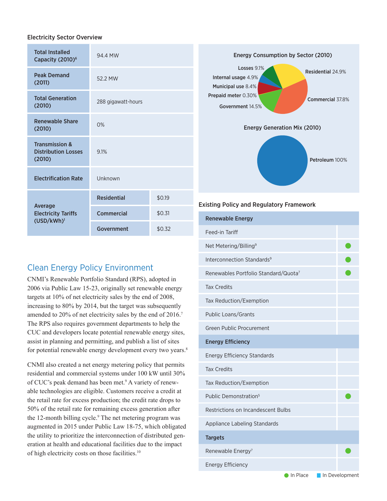#### Electricity Sector Overview

| <b>Total Installed</b><br>Capacity (2010) <sup>6</sup>            | 94.4 MW            |        |
|-------------------------------------------------------------------|--------------------|--------|
| <b>Peak Demand</b><br>(2011)                                      | 52.2 MW            |        |
| <b>Total Generation</b><br>(2010)                                 | 288 gigawatt-hours |        |
| <b>Renewable Share</b><br>(2010)                                  | 0%                 |        |
| <b>Transmission &amp;</b><br><b>Distribution Losses</b><br>(2010) | 9.1%               |        |
| <b>Electrification Rate</b>                                       | Unknown            |        |
| Average<br><b>Electricity Tariffs</b><br>(USD/kWh) <sup>1</sup>   | <b>Residential</b> | \$0.19 |
|                                                                   | <b>Commercial</b>  | \$0.31 |
|                                                                   | Government         | \$0.32 |

# Clean Energy Policy Environment

CNMI's Renewable Portfolio Standard (RPS), adopted in 2006 via Public Law 15-23, originally set renewable energy targets at 10% of net electricity sales by the end of 2008, increasing to 80% by 2014, but the target was subsequently amended to 20% of net electricity sales by the end of 2016.<sup>7</sup> The RPS also requires government departments to help the CUC and developers locate potential renewable energy sites, assist in planning and permitting, and publish a list of sites for potential renewable energy development every two years.<sup>8</sup>

CNMI also created a net energy metering policy that permits residential and commercial systems under 100 kW until 30% of CUC's peak demand has been met.<sup>[9](#page-3-7)</sup> A variety of renewable technologies are eligible. Customers receive a credit at the retail rate for excess production; the credit rate drops to 50% of the retail rate for remaining excess generation after the 12-month billing cycle.<sup>9</sup> The net metering program was augmented in 2015 under Public Law 18-75, which obligated the utility to prioritize the interconnection of distributed generation at health and educational facilities due to the impact of high electricity costs on those facilities.[10](#page-3-8)



#### Existing Policy and Regulatory Framework

| <b>Renewable Energy</b>                          |  |
|--------------------------------------------------|--|
| Feed-in Tariff                                   |  |
| Net Metering/Billing <sup>9</sup>                |  |
| Interconnection Standards <sup>9</sup>           |  |
| Renewables Portfolio Standard/Quota <sup>7</sup> |  |
| <b>Tax Credits</b>                               |  |
| Tax Reduction/Exemption                          |  |
| Public Loans/Grants                              |  |
| Green Public Procurement                         |  |
| <b>Energy Efficiency</b>                         |  |
| <b>Energy Efficiency Standards</b>               |  |
| <b>Tax Credits</b>                               |  |
| Tax Reduction/Exemption                          |  |
| Public Demonstration <sup>5</sup>                |  |
| Restrictions on Incandescent Bulbs               |  |
| Appliance Labeling Standards                     |  |
| <b>Targets</b>                                   |  |
| Renewable Energy <sup>7</sup>                    |  |
| <b>Energy Efficiency</b>                         |  |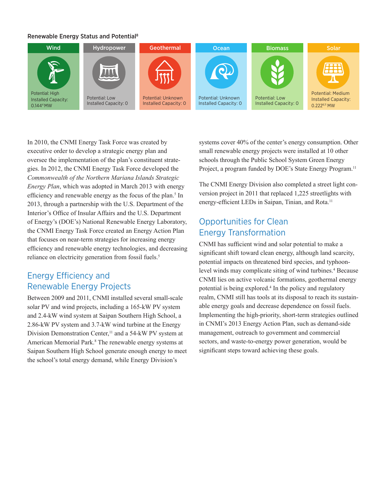### Renewable Energy Status and Potential[8](#page-3-6)



In 2010, the CNMI Energy Task Force was created by executive order to develop a strategic energy plan and oversee the implementation of the plan's constituent strategies. In 2012, the CNMI Energy Task Force developed the *Commonwealth of the Northern Mariana Islands Strategic Energy Plan*, which was adopted in March 2013 with energy efficiency and renewable energy as the focus of the plan.<sup>[5](#page-3-2)</sup> In 2013, through a partnership with the U.S. Department of the Interior's Office of Insular Affairs and the U.S. Department of Energy's (DOE's) National Renewable Energy Laboratory, the CNMI Energy Task Force created an Energy Action Plan that focuses on near-term strategies for increasing energy efficiency and renewable energy technologies, and decreasing reliance on electricity generation from fossil fuels.<sup>5</sup>

## Energy Efficiency and Renewable Energy Projects

Between 2009 and 2011, CNMI installed several small-scale solar PV and wind projects, including a 165-kW PV system and 2.4-kW wind system at Saipan Southern High School, a 2.86-kW PV system and 3.7-kW wind turbine at the Energy Division Demonstration Center,<sup>11</sup> and a 54-kW PV system at American Memorial Park.<sup>[8](#page-3-6)</sup> The renewable energy systems at Saipan Southern High School generate enough energy to meet the school's total energy demand, while Energy Division's

systems cover 40% of the center's energy consumption. Other small renewable energy projects were installed at 10 other schools through the Public School System Green Energy Project, a program funded by DOE's State Energy Program.<sup>11</sup>

The CNMI Energy Division also completed a street light conversion project in 2011 that replaced 1,225 streetlights with energy-efficient LEDs in Saipan, Tinian, and Rota.<sup>[11](#page-3-10)</sup>

# Opportunities for Clean Energy Transformation

CNMI has sufficient wind and solar potential to make a significant shift toward clean energy, although land scarcity, potential impacts on threatened bird species, and typhoonlevel winds may complicate siting of wind turbines.<sup>4</sup> Because CNMI lies on active volcanic formations, geothermal energy potential is being explored.<sup>[4](#page-3-3)</sup> In the policy and regulatory realm, CNMI still has tools at its disposal to reach its sustainable energy goals and decrease dependence on fossil fuels. Implementing the high-priority, short-term strategies outlined in CNMI's 2013 Energy Action Plan, such as demand-side management, outreach to government and commercial sectors, and waste-to-energy power generation, would be significant steps toward achieving these goals.